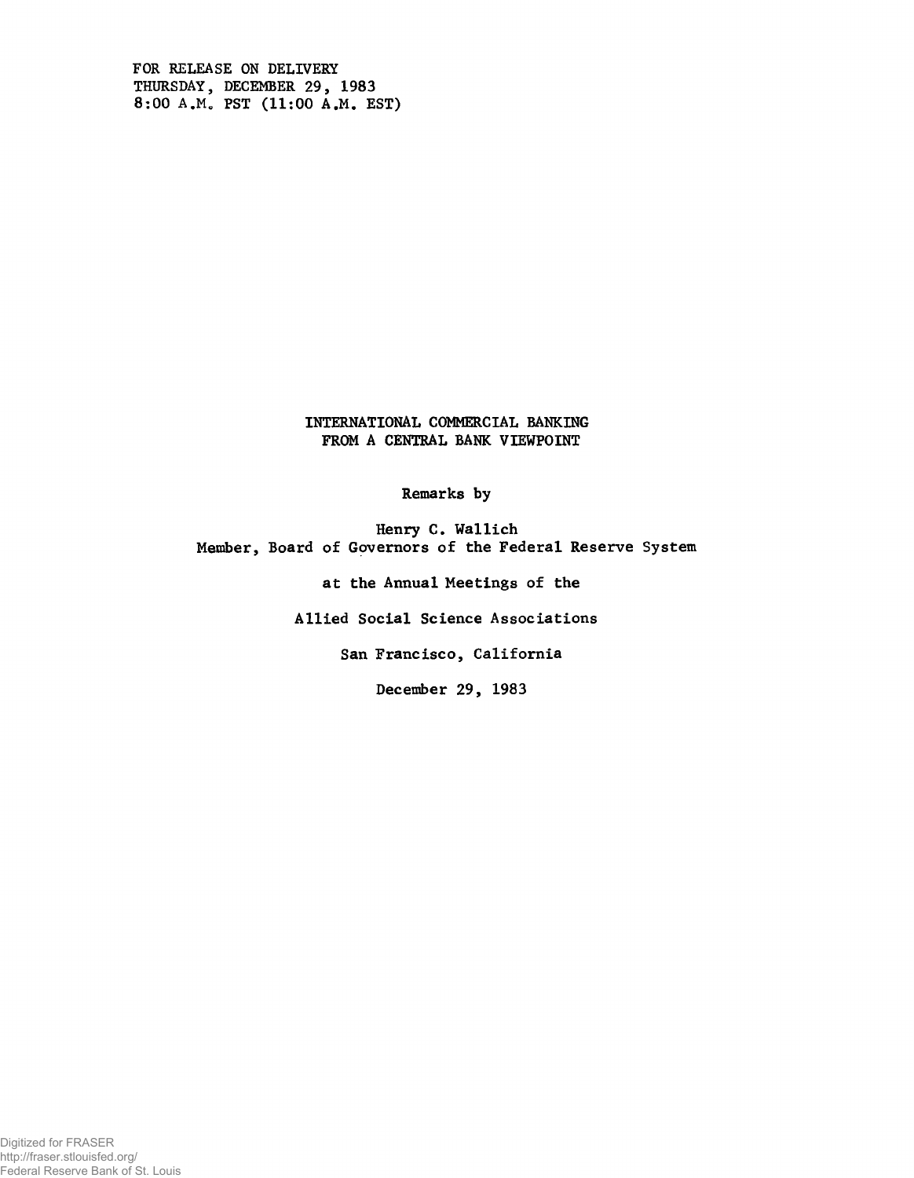**FOR RELEASE ON DELIVERY THURSDAY, DECEMBER 29, 1983 8:00 A.M. PST (11:00 A.M. EST)**

> **INTERNATIONAL COMMERCIAL BANKING FROM A CENTRAL BANK VIEWPOINT**

> > **Remarks by**

**Henry C. Wallich Member, Board of Governors of the Federal Reserve System**

**at the Annual Meetings of the**

**Allied Social Science Associations**

**San Francisco, California**

**December 29, 1983**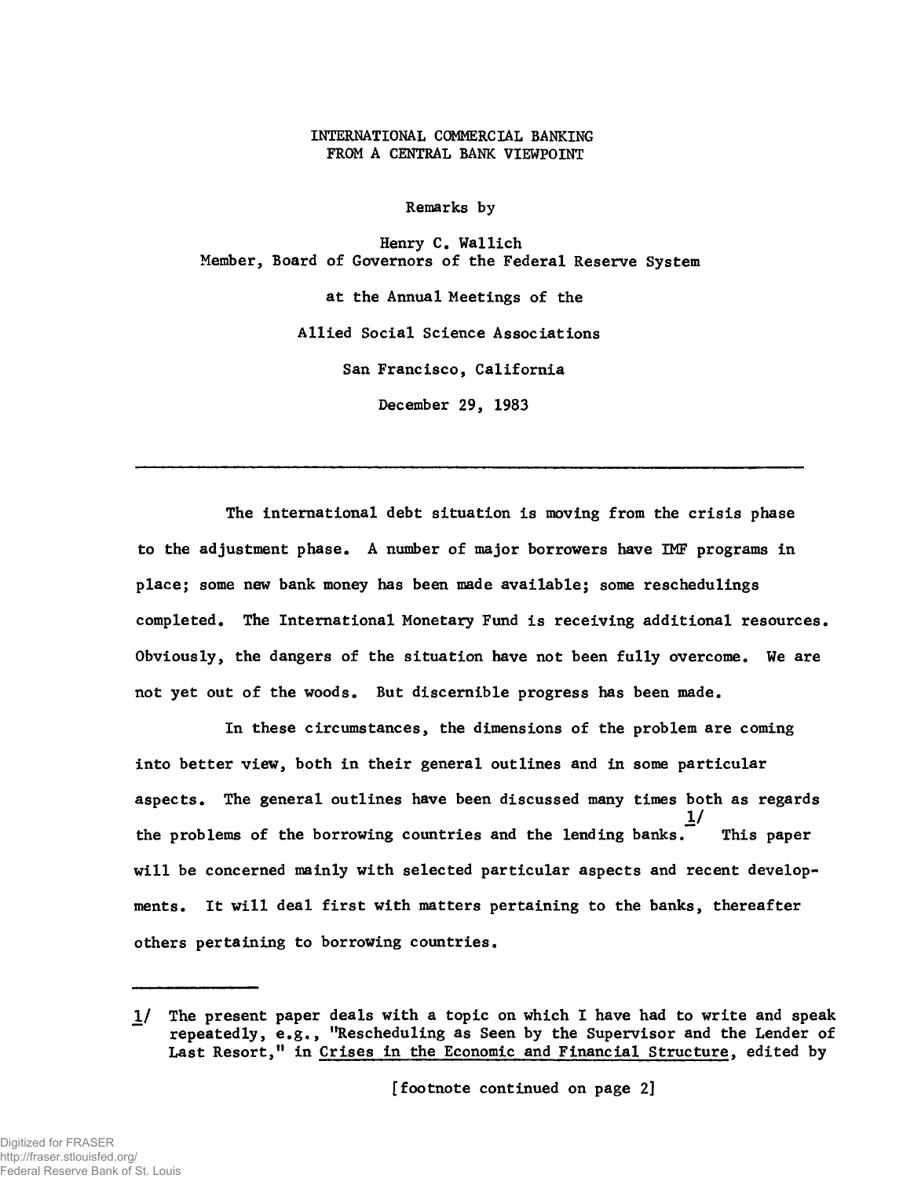**INTERNATIONAL COMMERCIAL BANKING FROM A CENTRAL BANK VIEWPOINT**

**Remarks by**

**Henry C. Wallich Member, Board of Governors of the Federal Reserve System**

> **at the Annual Meetings of the Allied Social Science Associations San Francisco, California December 29, 1983**

**The international debt situation is moving from the crisis phase to the adjustment phase. A number of major borrowers have IMF programs in place; some new bank money has been made available; some reschedulings completed. The International Monetary Fund is receiving additional resources. Obviously, the dangers of the situation have not been fully overcome. We are not yet out of the woods. But discernible progress has been made.**

**In these circumstances, the dimensions of the problem are coming into better view, both in their general outlines and in some particular aspects. The general outlines have been discussed many times both as regards** *If* **the problems of the borrowing countries and the lending banks. This paper will be concerned mainly with selected particular aspects and recent developments. It will deal first with matters pertaining to the banks, thereafter others pertaining to borrowing countries.**

**[footnote continued on page** *2]*

*<sup>1/</sup>* **The present paper deals with a topic on which I have had to write and speak repeatedly, e.g., "Rescheduling as Seen by the Supervisor and the Lender of** Last Resort," in Crises in the Economic and Financial Structure, edited by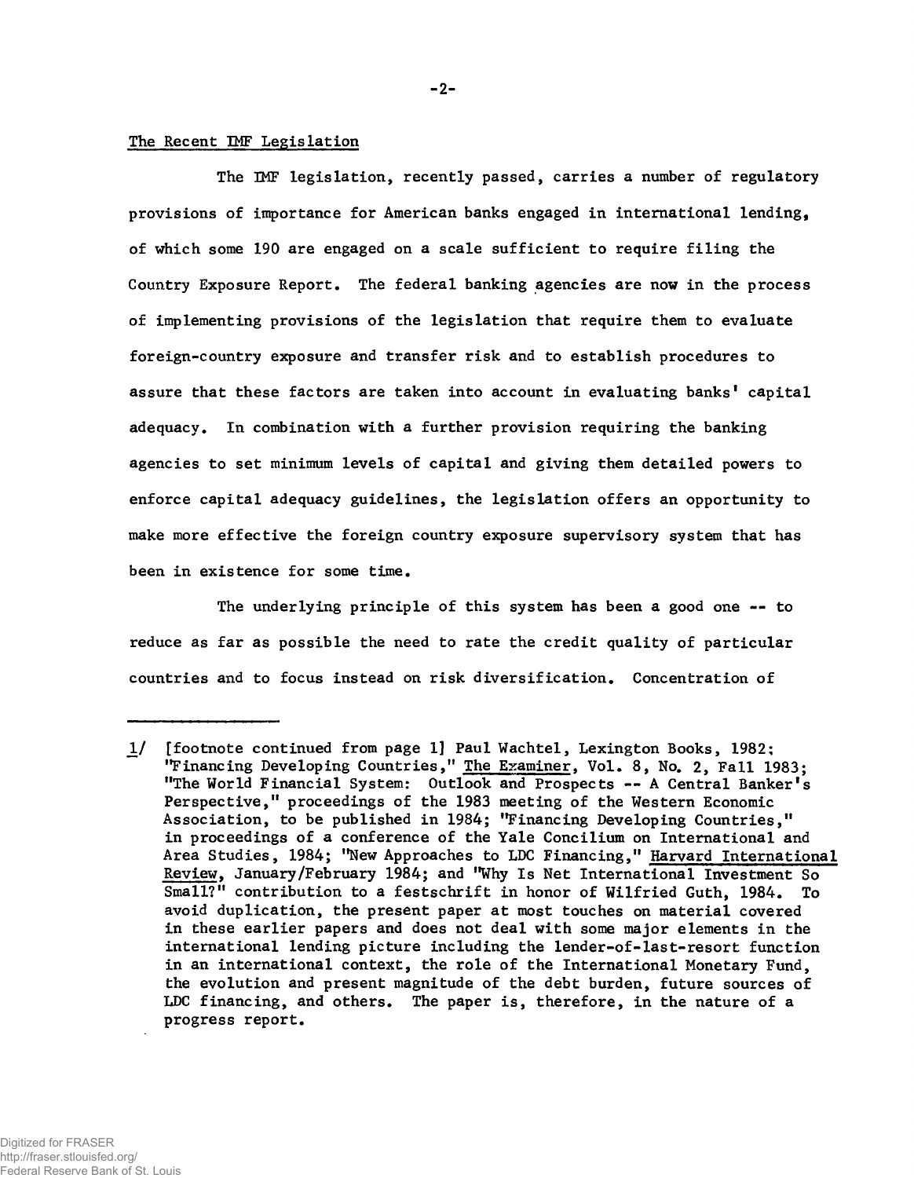## **The Recent IMF Legislation**

**The IMF legislation, recently passed, carries a number of regulatory provisions of importance for American banks engaged in international lending, of which some 190 are engaged on a scale sufficient to require filing the Country Exposure Report. The federal banking agencies are now in the process of implementing provisions of the legislation that require them to evaluate foreign-country exposure and transfer risk and to establish procedures to assure that these factors are taken into account in evaluating banks' capital adequacy. In combination with a further provision requiring the banking agencies to set minimum levels of capital and giving them detailed powers to enforce capital adequacy guidelines, the legislation offers an opportunity to make more effective the foreign country exposure supervisory system that has been in existence for some time.**

**The underlying principle of this system has been a good one — to reduce as far as possible the need to rate the credit quality of particular countries and to focus instead on risk diversification. Concentration of**

**JL/ [footnote continued from page 1] Paul Wachtel, Lexington Books, 1982; "Financing Developing Countries," The Examiner. Vol. 8, No. 2, Fall 1983; "The World Financial System: Outlook and Prospects -- A Central Banker's Perspective," proceedings of the 1983 meeting of the Western Economic Association, to be published in 1984; "Financing Developing Countries," in proceedings of a conference of the Yale Concilium on International and Area Studies, 1984; "New Approaches to LDC Financing," Harvard International Review, January/February 1984; and "Why Is Net International Investment So Small?" contribution to a festschrift in honor of Wilfried Guth, 1984. To avoid duplication, the present paper at most touches on material covered in these earlier papers and does not deal with some major elements in the international lending picture including the lender-of-last-resort function in an international context, the role of the International Monetary Fund, the evolution and present magnitude of the debt burden, future sources of LDC financing, and others. The paper is, therefore, in the nature of a progress report.**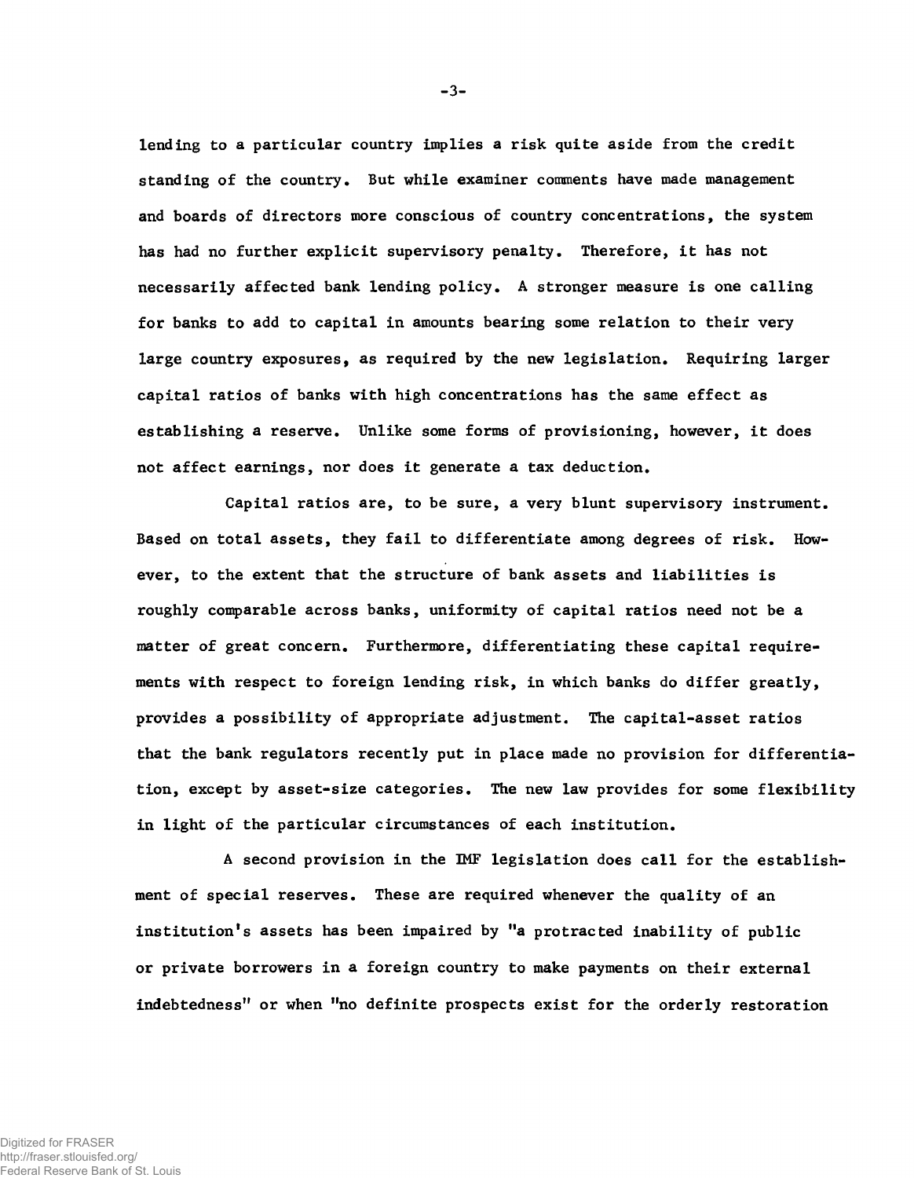lending to a particular country implies a risk quite aside from the credit standing of the country. But while examiner comments have made management and boards of directors more conscious of country concentrations, the system has had no further explicit supervisory penalty. Therefore, it has not necessarily affected bank lending policy. A stronger measure is one calling for banks to add to capital in amounts bearing some relation to their very large country exposures, as required by the new legislation. Requiring larger capital ratios of banks with high concentrations has the same effect as establishing a reserve. Unlike some forms of provisioning, however, it does not affect earnings, nor does it generate a tax deduction.

Capital ratios are, to be sure, a very blunt supervisory instrument. Based on total assets, they fail to differentiate among degrees of risk. However, to the extent that the structure of bank assets and liabilities is roughly comparable across banks, uniformity of capital ratios need not be a matter of great concern. Furthermore, differentiating these capital requirements with respect to foreign lending risk, in which banks do differ greatly, provides a possibility of appropriate adjustment. The capital-asset ratios that the bank regulators recently put in place made no provision for differentiation, except by asset-size categories. The new law provides for some flexibility in light of the particular circumstances of each institution.

A second provision in the IMF legislation does call for the establishment of special reserves. These are required whenever the quality of an institution's assets has been impaired by "a protracted inability of public or private borrowers in a foreign country to make payments on their external indebtedness" or when "no definite prospects exist for the orderly restoration

**-** 3**-**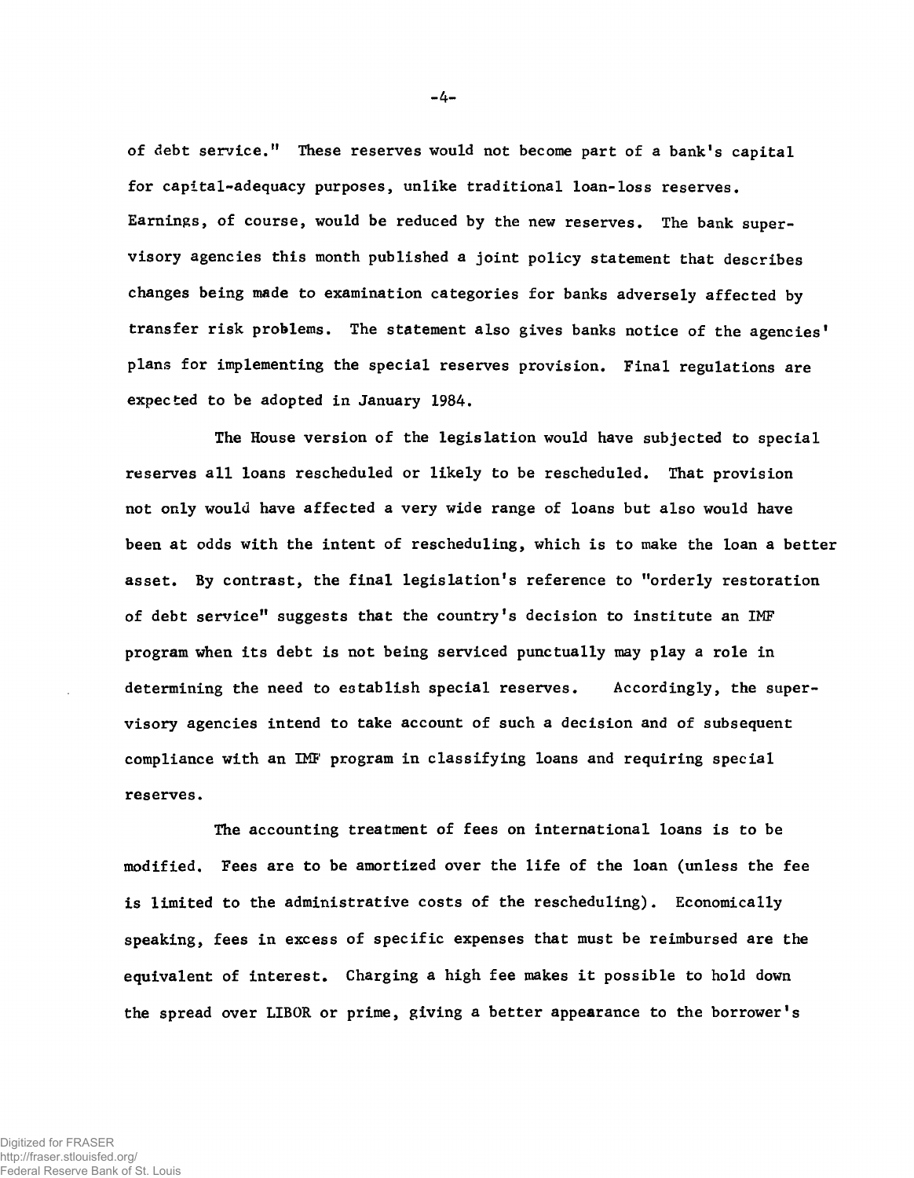of debt service." These reserves would not become part of a bank's capital for capital-adequacy purposes, unlike traditional loan-loss reserves. Earnings, of course, would be reduced by the new reserves. The bank supervisory agencies this month published a joint policy statement that describes changes being made to examination categories for banks adversely affected by transfer risk problems. The statement also gives banks notice of the agencies' plans for implementing the special reserves provision. Final regulations are expected to be adopted in January 1984.

The House version of the legislation would have subjected to special reserves all loans rescheduled or likely to be rescheduled. That provision not only would have affected a very wide range of loans but also would have been at odds with the intent of rescheduling, which is to make the loan a better asset. By contrast, the final legislation's reference to "orderly restoration of debt service" suggests that the country's decision to institute an IMF program when its debt is not being serviced punctually may play a role in determining the need to establish special reserves. Accordingly, the supervisory agencies intend to take account of such a decision and of subsequent compliance with an IMF program in classifying loans and requiring special reserves.

The accounting treatment of fees on international loans is to be modified. Fees are to be amortized over the life of the loan (unless the fee is limited to the administrative costs of the rescheduling). Economically speaking, fees in excess of specific expenses that must be reimbursed are the equivalent of interest. Charging a high fee makes it possible to hold down the spread over LIBOR or prime, giving a better appearance to the borrower's

**-** 4**-**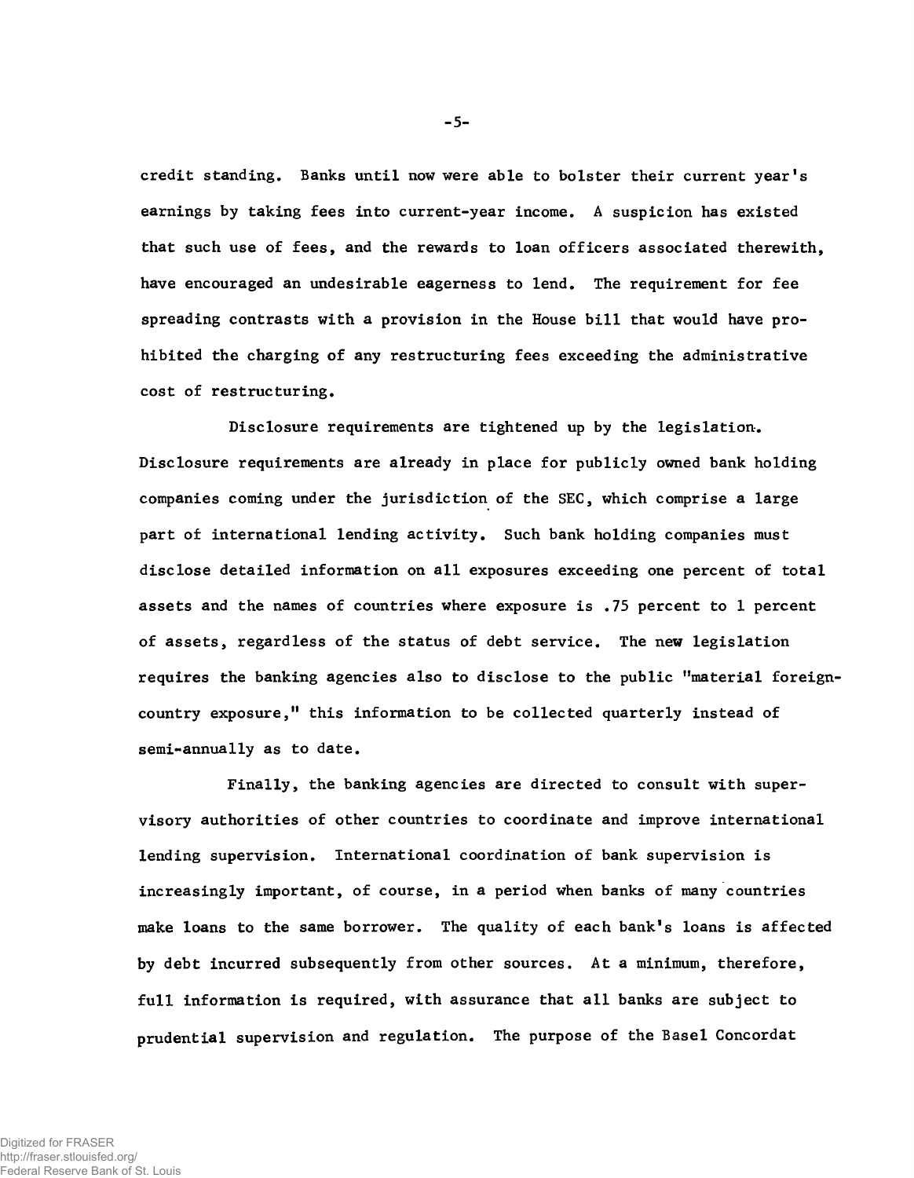credit standing. Banks until now were able to bolster their current year's earnings by taking fees into current-year income. A suspicion has existed that such use of fees, and the rewards to loan officers associated therewith, have encouraged an undesirable eagerness to lend. The requirement for fee spreading contrasts with a provision in the House bill that would have prohibited the charging of any restructuring fees exceeding the administrative cost of restructuring.

Disclosure requirements are tightened up by the legislation. Disclosure requirements are already in place for publicly owned bank holding companies coming under the jurisdiction of the SEC, which comprise a large part of international lending activity. Such bank holding companies must disclose detailed information on all exposures exceeding one percent of total assets and the names of countries where exposure is .75 percent to 1 percent of assets, regardless of the status of debt service. The new legislation requires the banking agencies also to disclose to the public "material foreigncountry exposure," this information to be collected quarterly instead of semi-annually as to date.

Finally, the banking agencies are directed to consult with supervisory authorities of other countries to coordinate and improve international lending supervision. International coordination of bank supervision is increasingly important, of course, in a period when banks of many countries make loans to the same borrower. The quality of each bank's loans is affected by debt incurred subsequently from other sources. At a minimum, therefore, full information is required, with assurance that all banks are subject to prudential supervision and regulation. The purpose of the Basel Concordat

**-** 5**-**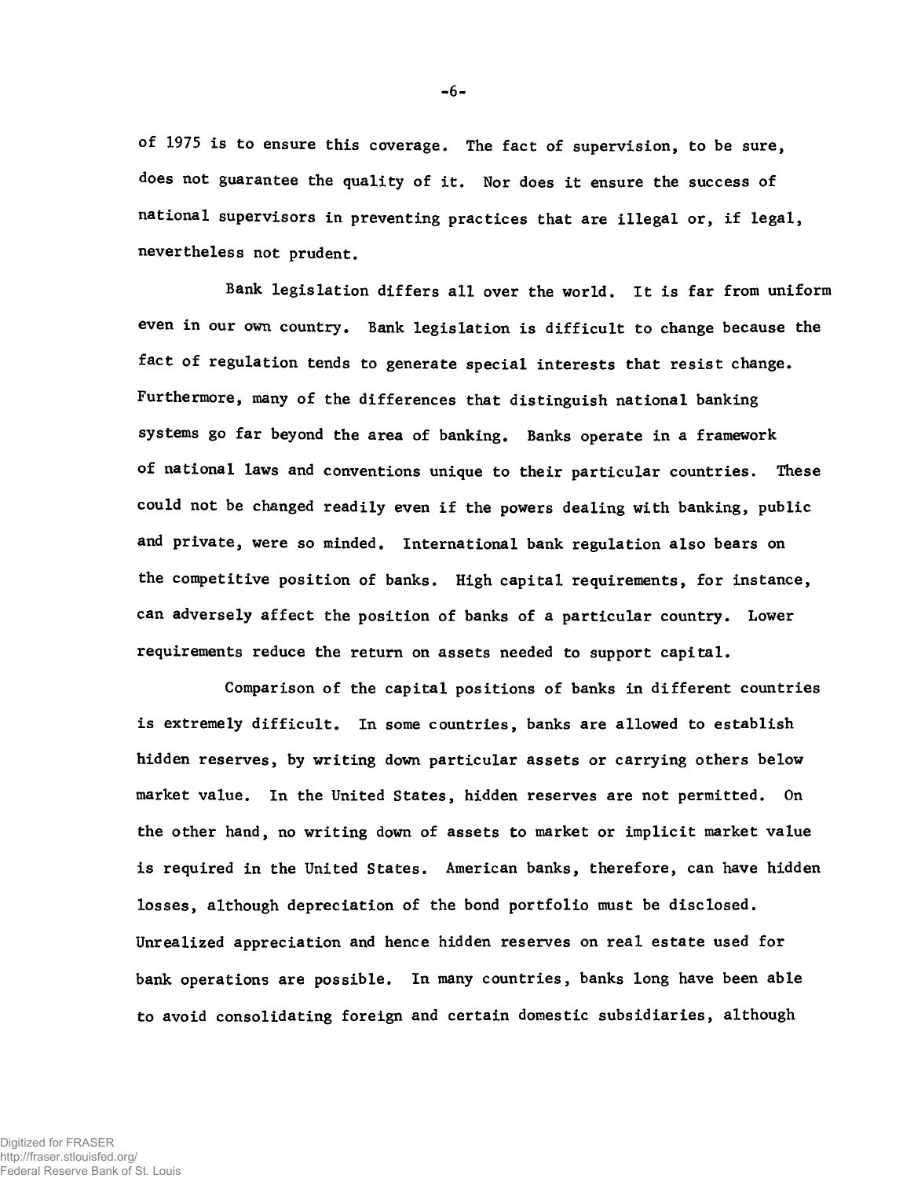of 1975 is to ensure this coverage. The fact of supervision, to be sure, does not guarantee the quality of it. Nor does it ensure the success of national supervisors in preventing practices that are illegal or, if legal, nevertheless not prudent.

Bank legislation differs all over the world. It is far from uniform even in our own country. Bank legislation is difficult to change because the fact of regulation tends to generate special interests that resist change. Furthermore, many of the differences that distinguish national banking systems go far beyond the area of banking. Banks operate in a framework of national laws and conventions unique to their particular countries. These could not be changed readily even if the powers dealing with banking, public and private, were so minded. International bank regulation also bears on the competitive position of banks. High capital requirements, for instance, can adversely affect the position of banks of a particular country. Lower requirements reduce the return on assets needed to support capital.

Comparison of the capital positions of banks in different countries is extremely difficult. In some countries, banks are allowed to establish hidden reserves, by writing down particular assets or carrying others below market value. In the United States, hidden reserves are not permitted. On the other hand, no writing down of assets to market or implicit market value is required in the United States. American banks, therefore, can have hidden losses, although depreciation of the bond portfolio must be disclosed. Unrealized appreciation and hence hidden reserves on real estate used for bank operations are possible. In many countries, banks long have been able to avoid consolidating foreign and certain domestic subsidiaries, although

Digitized for FRASER

http://fraser.stlouisfed.org/ Federal Reserve Bank of St. Louis -6-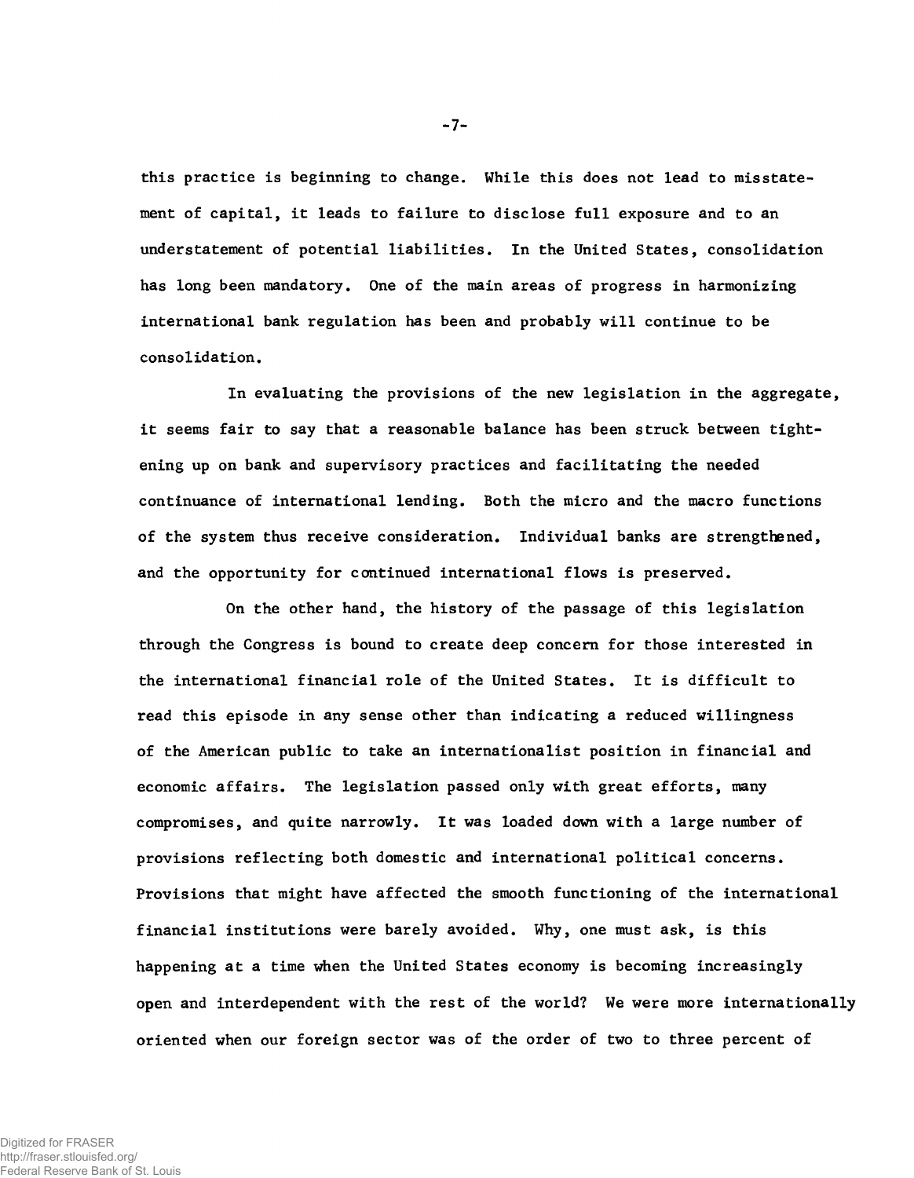this practice is beginning to change. While this does not lead to misstatement of capital, it leads to failure to disclose full exposure and to an understatement of potential liabilities. In the United States, consolidation has long been mandatory. One of the main areas of progress in harmonizing international bank regulation has been and probably will continue to be consolidation.

In evaluating the provisions of the new legislation in the aggregate, it seems fair to say that a reasonable balance has been struck between tightening up on bank and supervisory practices and facilitating the needed continuance of international lending. Both the micro and the macro functions of the system thus receive consideration. Individual banks are strengthened, and the opportunity for continued international flows is preserved.

On the other hand, the history of the passage of this legislation through the Congress is bound to create deep concern for those interested in the international financial role of the United States. It is difficult to read this episode in any sense other than indicating a reduced willingness of the American public to take an internationalist position in financial and economic affairs. The legislation passed only with great efforts, many compromises, and quite narrowly. It was loaded down with a large number of provisions reflecting both domestic and international political concerns. Provisions that might have affected the smooth functioning of the international financial institutions were barely avoided. Why, one must ask, is this happening at a time when the United States economy is becoming increasingly open and interdependent with the rest of the world? We were more internationally oriented when our foreign sector was of the order of two to three percent of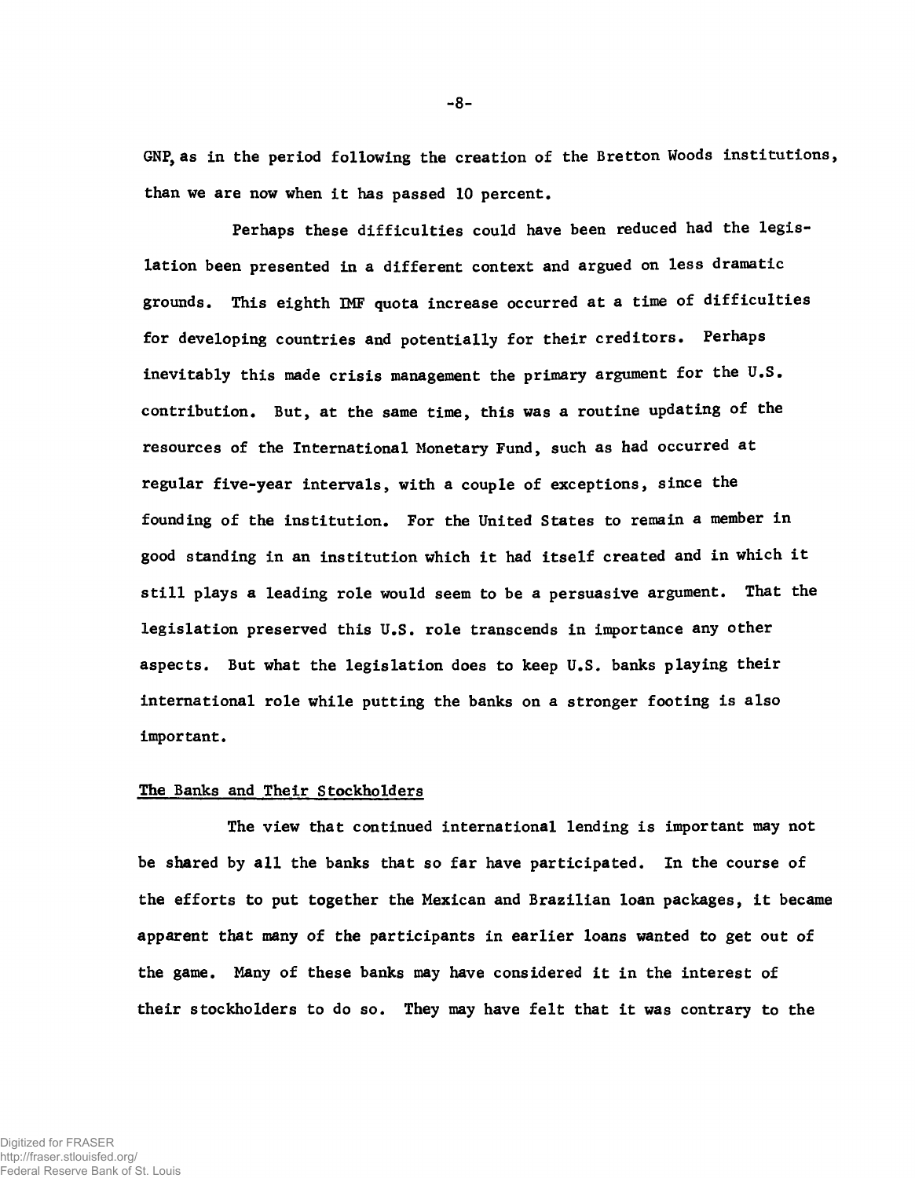**GNP, as in the period following the creation of the Bretton Woods institutions, than we are now when it has passed 10 percent.**

**Perhaps these difficulties could have been reduced had the legislation been presented in a different context and argued on less dramatic grounds. This eighth IMF quota increase occurred at a time of difficulties for developing countries and potentially for their creditors. Perhaps inevitably this made crisis management the primary argument for the U.S. contribution. But, at the same time, this was a routine updating of the resources of the International Monetary Fund, such as had occurred at regular five-year intervals, with a couple of exceptions, since the founding of the institution. For the United States to remain a member in good standing in an institution which it had itself created and in which it still plays a leading role would seem to be a persuasive argument. That the legislation preserved this U.S. role transcends in importance any other aspects. But what the legislation does to keep U.S. banks playing their international role while putting the banks on a stronger footing is also important.**

## **The Banks and Their Stockholders**

**The view that continued international lending is important may not be shared by all the banks that so far have participated. In the course of the efforts to put together the Mexican and Brazilian loan packages, it became apparent that many of the participants in earlier loans wanted to get out of the game. Many of these banks may have considered it in the interest of their stockholders to do so. They may have felt that it was contrary to the**

-8-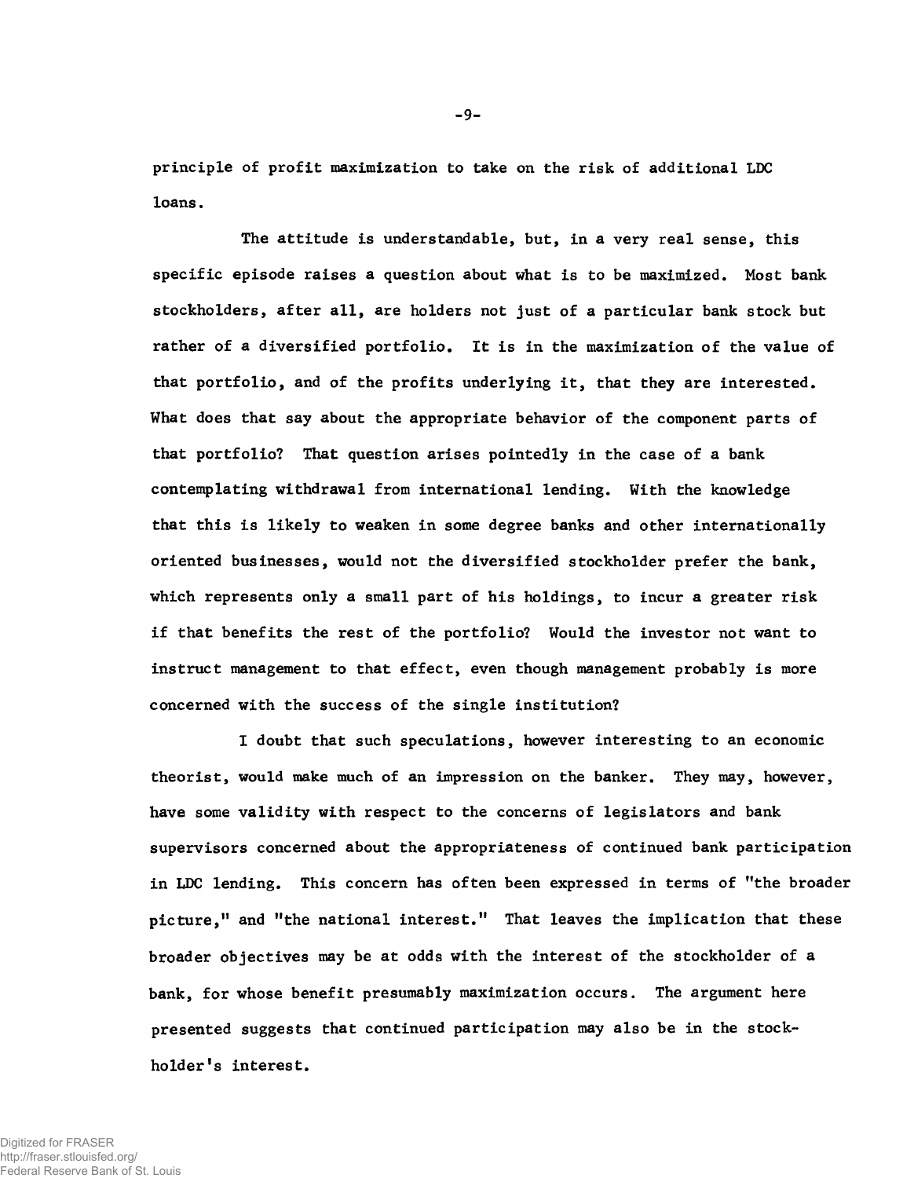principle of profit maximization to take on the risk of additional LDC loans.

The attitude is understandable, but, in a very real sense, this specific episode raises a question about what is to be maximized. Most bank stockholders, after all, are holders not just of a particular bank stock but rather of a diversified portfolio. It is in the maximization of the value of that portfolio, and of the profits underlying it, that they are interested. What does that say about the appropriate behavior of the component parts of that portfolio? That question arises pointedly in the case of a bank contemplating withdrawal from international lending. With the knowledge that this is likely to weaken in some degree banks and other internationally oriented businesses, would not the diversified stockholder prefer the bank, which represents only a small part of his holdings, to incur a greater risk if that benefits the rest of the portfolio? Would the investor not want to instruct management to that effect, even though management probably is more concerned with the success of the single institution?

I doubt that such speculations, however interesting to an economic theorist, would make much of an impression on the banker. They may, however, have some validity with respect to the concerns of legislators and bank supervisors concerned about the appropriateness of continued bank participation in LDC lending. This concern has often been expressed in terms of "the broader picture," and "the national interest." That leaves the implication that these broader objectives may be at odds with the interest of the stockholder of a bank, for whose benefit presumably maximization occurs. The argument here presented suggests that continued participation may also be in the stockholder's interest.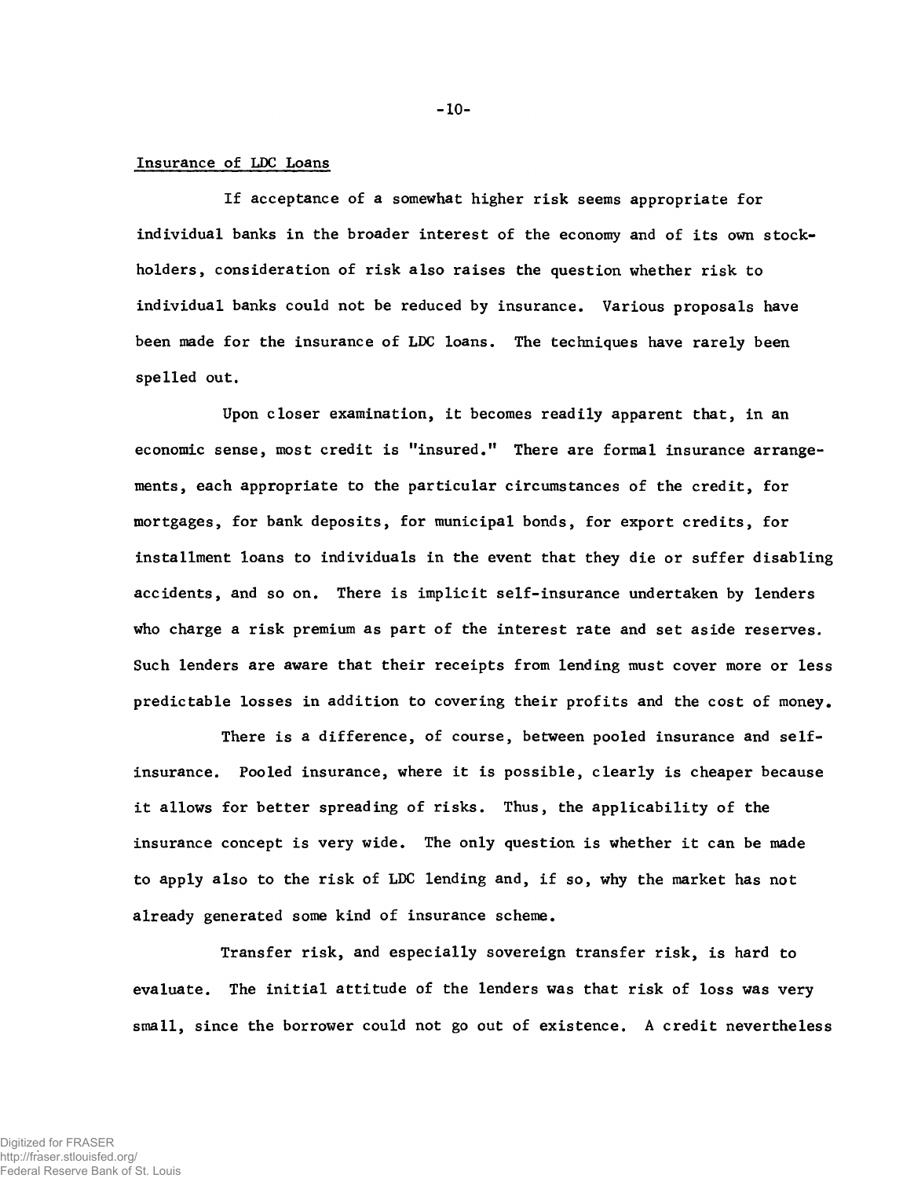## Insurance of LDC Loans

If acceptance of a somewhat higher risk seems appropriate for individual banks in the broader interest of the economy and of its own stockholders, consideration of risk also raises the question whether risk to individual banks could not be reduced by insurance. Various proposals have been made for the insurance of LDC loans. The techniques have rarely been spelled out.

Upon closer examination, it becomes readily apparent that, in an economic sense, most credit is "insured." There are formal insurance arrangements, each appropriate to the particular circumstances of the credit, for mortgages, for bank deposits, for municipal bonds, for export credits, for installment loans to individuals in the event that they die or suffer disabling accidents, and so on. There is implicit self-insurance undertaken by lenders who charge a risk premium as part of the interest rate and set aside reserves. Such lenders are aware that their receipts from lending must cover more or less predictable losses in addition to covering their profits and the cost of money.

There is a difference, of course, between pooled insurance and selfinsurance. Pooled insurance, where it is possible, clearly is cheaper because it allows for better spreading of risks. Thus, the applicability of the insurance concept is very wide. The only question is whether it can be made to apply also to the risk of LDC lending and, if so, why the market has not already generated some kind of insurance scheme.

Transfer risk, and especially sovereign transfer risk, is hard to evaluate. The initial attitude of the lenders was that risk of loss was very small, since the borrower could not go out of existence. A credit nevertheless

-10-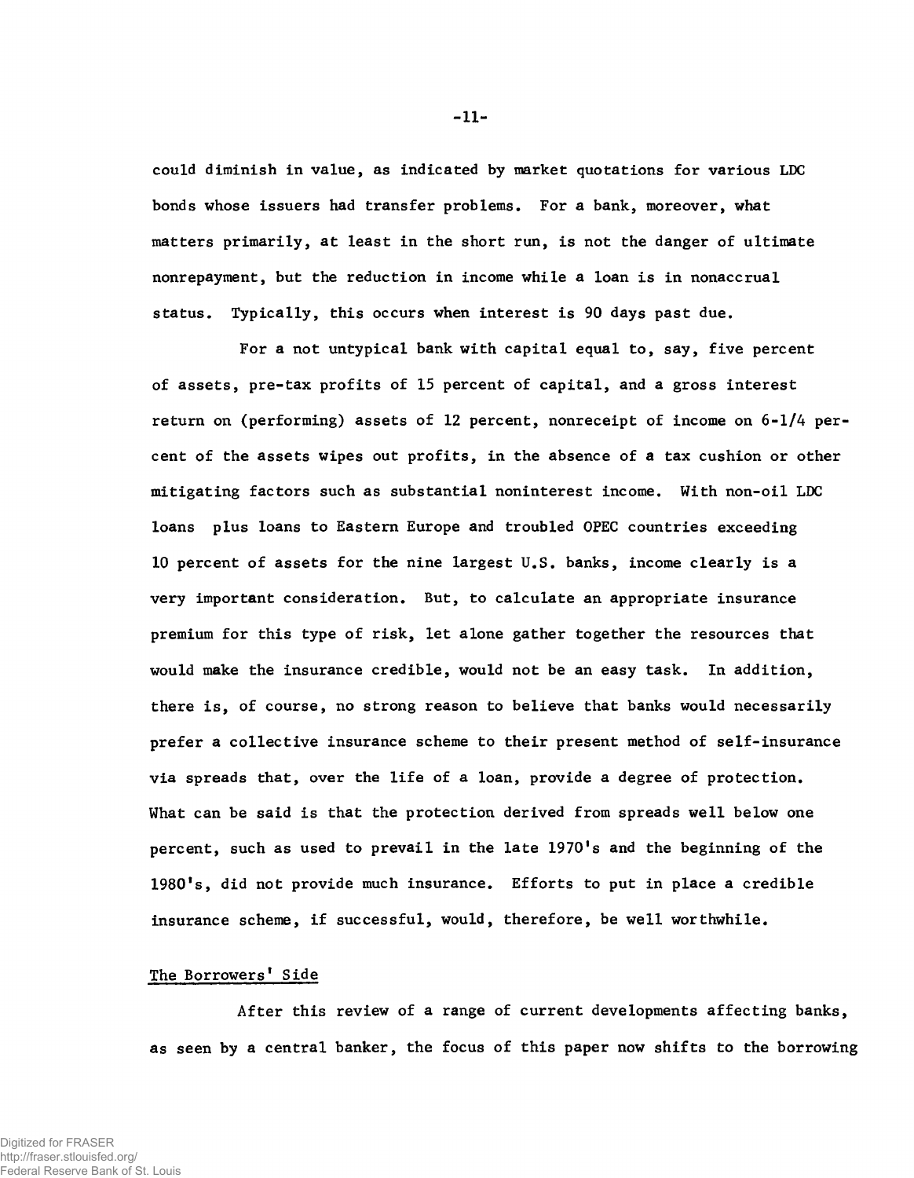could diminish in value, as indicated by market quotations for various LDC bonds whose issuers had transfer problems. For a bank, moreover, what matters primarily, at least in the short run, is not the danger of ultimate nonrepayment, but the reduction in income while a loan is in nonaccrual status. Typically, this occurs when interest is 90 days past due.

For a not untypical bank with capital equal to, say, five percent of assets, pre-tax profits of 15 percent of capital, and a gross interest return on (performing) assets of 12 percent, nonreceipt of income on 6-1/4 percent of the assets wipes out profits, in the absence of a tax cushion or other mitigating factors such as substantial noninterest income. With non-oil LDC loans plus loans to Eastern Europe and troubled OPEC countries exceeding 10 percent of assets for the nine largest U.S. banks, income clearly is a very important consideration. But, to calculate an appropriate insurance premium for this type of risk, let alone gather together the resources that would make the insurance credible, would not be an easy task. In addition, there is, of course, no strong reason to believe that banks would necessarily prefer a collective insurance scheme to their present method of self-insurance via spreads that, over the life of a loan, provide a degree of protection. What can be said is that the protection derived from spreads well below one percent, such as used to prevail in the late 1970's and the beginning of the 1980's, did not provide much insurance. Efforts to put in place a credible insurance scheme, if successful, would, therefore, be well worthwhile.

## The Borrowers' Side

After this review of a range of current developments affecting banks, as seen by a central banker, the focus of this paper now shifts to the borrowing

-11-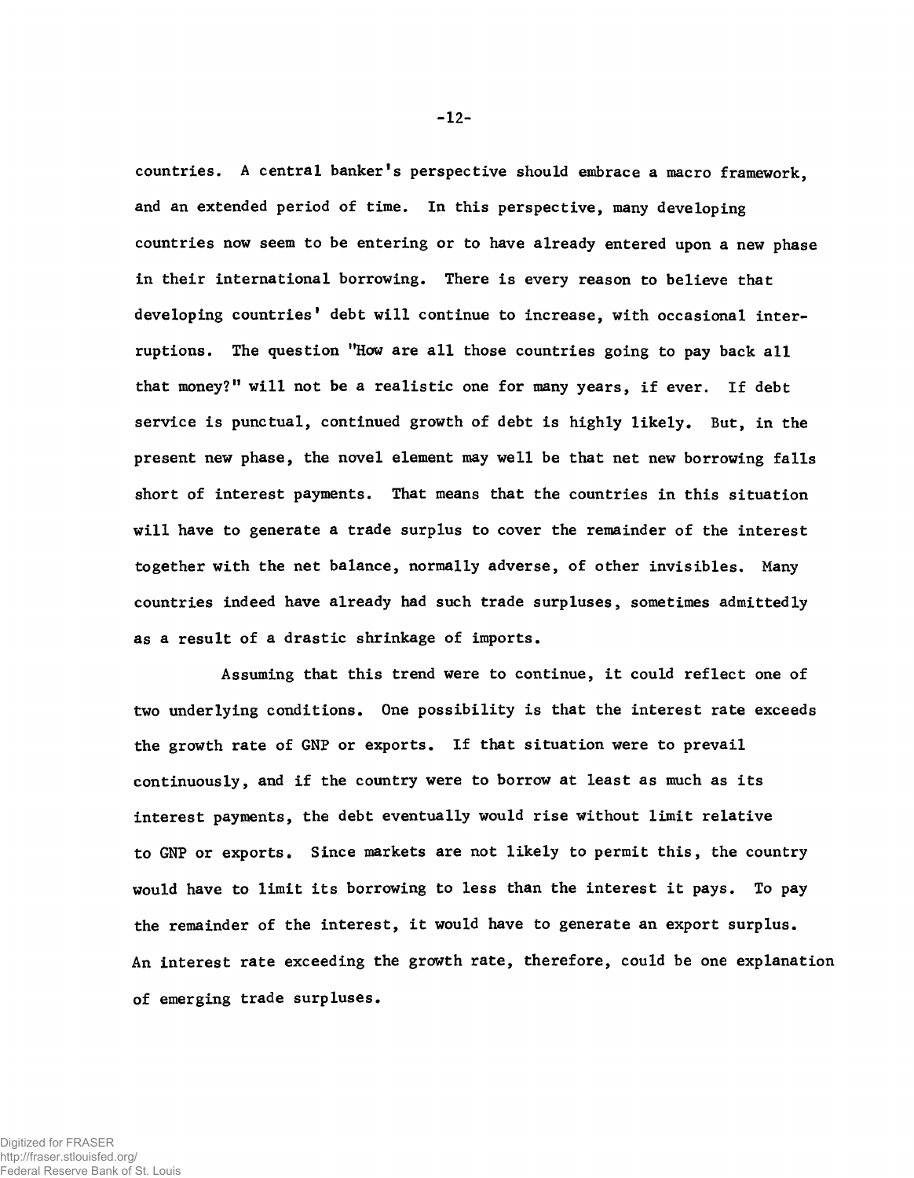countries. A central banker's perspective should embrace a macro framework, and an extended period of time. In this perspective, many developing countries now seem to be entering or to have already entered upon a new phase in their international borrowing. There is every reason to believe that developing countries' debt will continue to increase, with occasional interruptions. The question "How are all those countries going to pay back all that money?" will not be a realistic one for many years, if ever. If debt service is punctual, continued growth of debt is highly likely. But, in the present new phase, the novel element may well be that net new borrowing falls short of interest payments. That means that the countries in this situation will have to generate a trade surplus to cover the remainder of the interest together with the net balance, normally adverse, of other invisibles. Many countries indeed have already had such trade surpluses, sometimes admittedly as a result of a drastic shrinkage of imports.

Assuming that this trend were to continue, it could reflect one of two underlying conditions. One possibility is that the interest rate exceeds the growth rate of GNP or exports. If that situation were to prevail continuously, and if the country were to borrow at least as much as its interest payments, the debt eventually would rise without limit relative to GNP or exports. Since markets are not likely to permit this, the country would have to limit its borrowing to less than the interest it pays. To pay the remainder of the interest, it would have to generate an export surplus. An interest rate exceeding the growth rate, therefore, could be one explanation of emerging trade surpluses.

-12-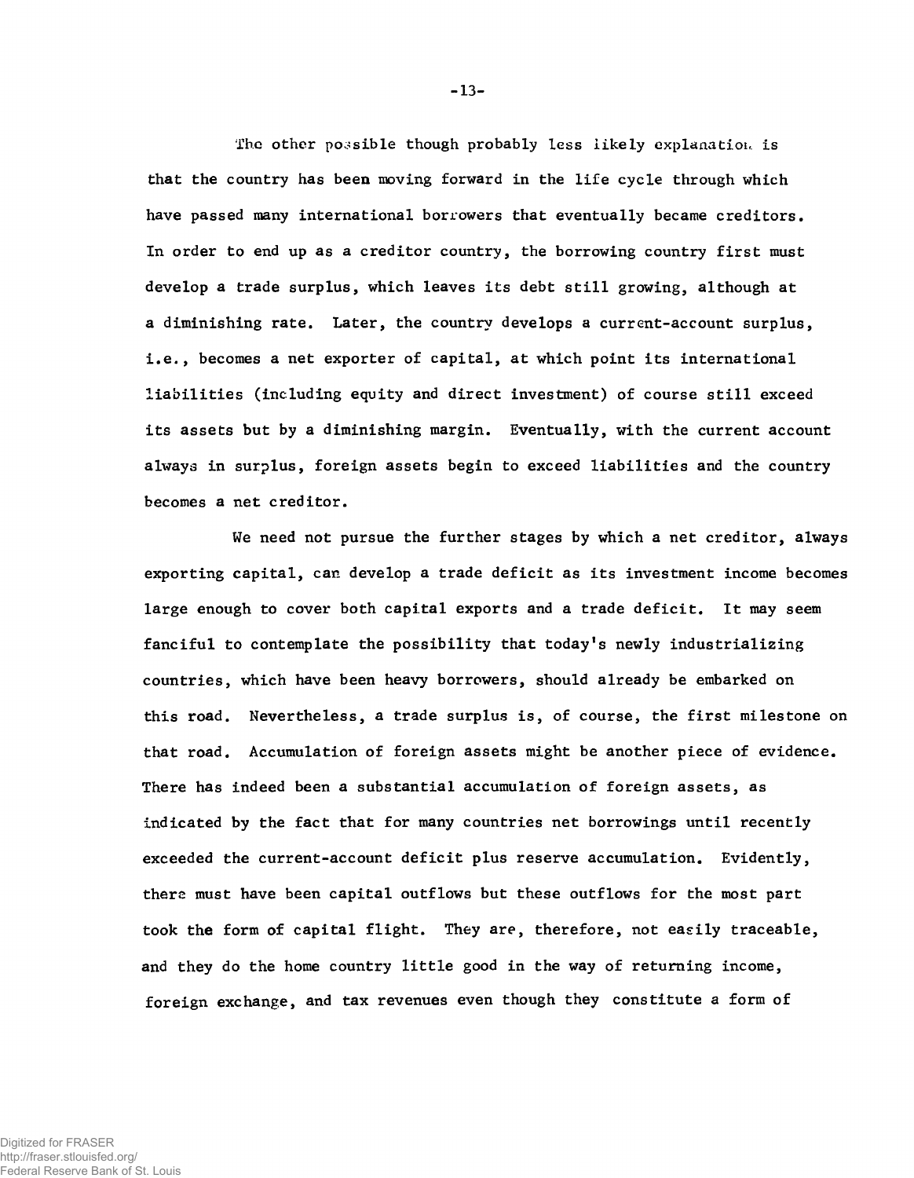The other possible though probably less likely explanation is that the country has been moving forward in the life cycle through which have passed many international borrowers that eventually became creditors. In order to end up as a creditor country, the borrowing country first must develop a trade surplus, which leaves its debt still growing, although at a diminishing rate. Later, the country develops a current-account surplus, i.e., becomes a net exporter of capital, at which point its international liabilities (including equity and direct investment) of course still exceed its assets but by a diminishing margin. Eventually, with the current account always in surplus, foreign assets begin to exceed liabilities and the country becomes a net creditor.

We need not pursue the further stages by which a net creditor, always exporting capital, can develop a trade deficit as its investment income becomes large enough to cover both capital exports and a trade deficit. It may seem fanciful to contemplate the possibility that today's newly industrializing countries, which have been heavy borrowers, should already be embarked on this road. Nevertheless, a trade surplus is, of course, the first milestone on that road. Accumulation of foreign assets might be another piece of evidence. There has indeed been a substantial accumulation of foreign assets, as indicated by the fact that for many countries net borrowings until recently exceeded the current-account deficit plus reserve accumulation. Evidently, there must have been capital outflows but these outflows for the most part took the form of capital flight. They are, therefore, not easily traceable, and they do the home country little good in the way of returning income, foreign exchange, and tax revenues even though they constitute a form of

**-** 13**-**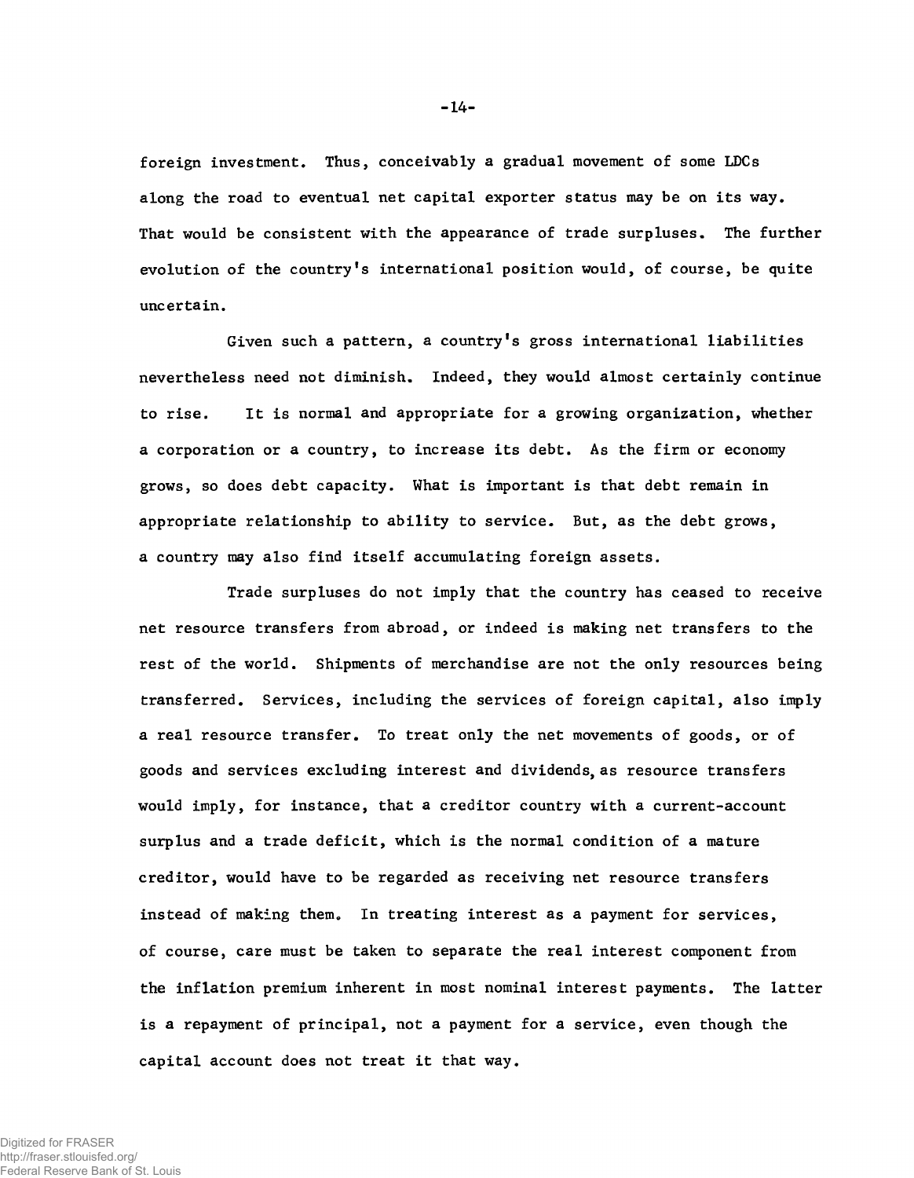foreign investment. Thus, conceivably a gradual movement of some LDCs along the road to eventual net capital exporter status may be on its way. That would be consistent with the appearance of trade surpluses. The further evolution of the country's international position would, of course, be quite uncertain.

Given such a pattern, a country's gross international liabilities nevertheless need not diminish. Indeed, they would almost certainly continue to rise. It is normal and appropriate for a growing organization, whether a corporation or a country, to increase its debt. As the firm or economy grows, so does debt capacity. What is important is that debt remain in appropriate relationship to ability to service. But, as the debt grows, a country may also find itself accumulating foreign assets.

Trade surpluses do not imply that the country has ceased to receive net resource transfers from abroad, or indeed is making net transfers to the rest of the world. Shipments of merchandise are not the only resources being transferred. Services, including the services of foreign capital, also imply a real resource transfer. To treat only the net movements of goods, or of goods and services excluding interest and dividends, as resource transfers would imply, for instance, that a creditor country with a current-account surplus and a trade deficit, which is the normal condition of a mature creditor, would have to be regarded as receiving net resource transfers instead of making them. In treating interest as a payment for services, of course, care must be taken to separate the real interest component from the inflation premium inherent in most nominal interest payments. The latter is a repayment of principal, not a payment for a service, even though the capital account does not treat it that way.

**-** 14**-**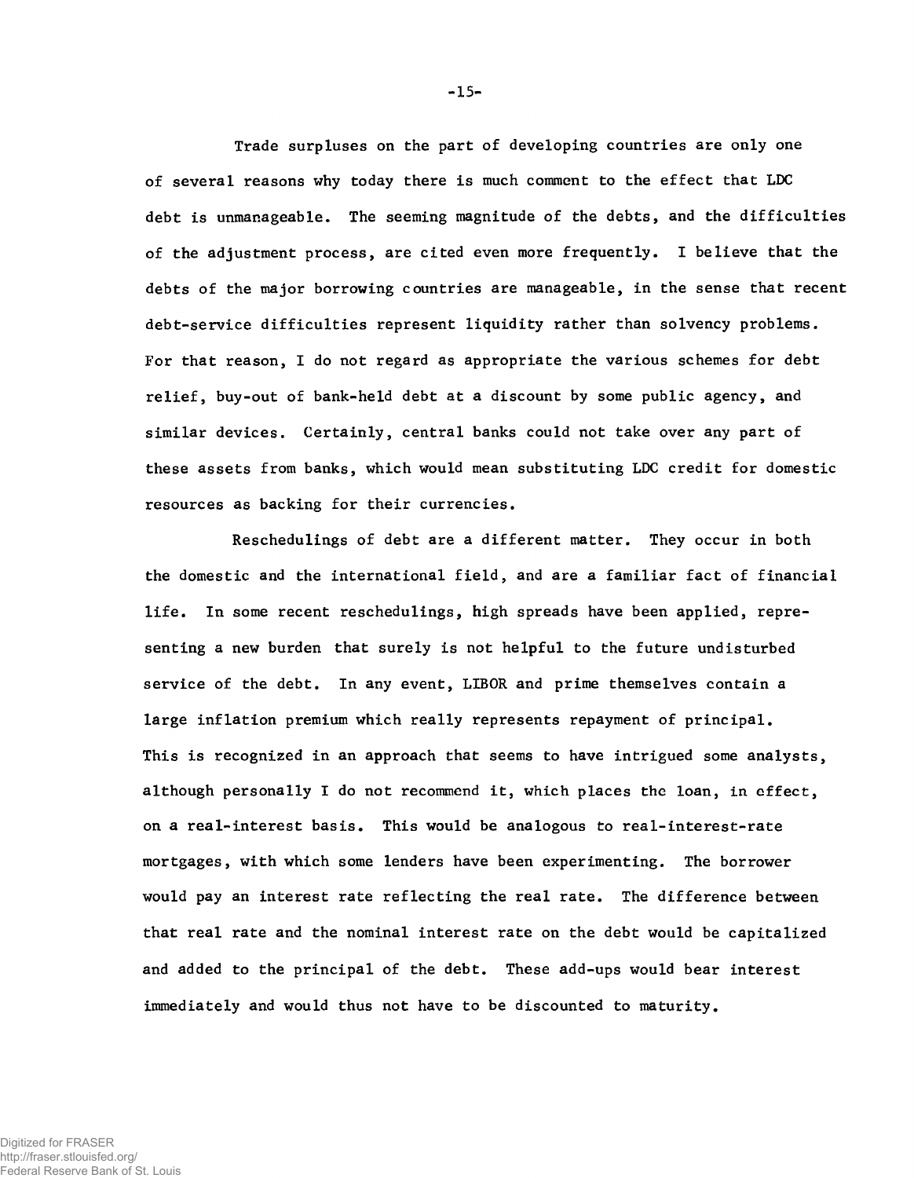Trade surpluses on the part of developing countries are only one of several reasons why today there is much comment to the effect that LDC debt is unmanageable. The seeming magnitude of the debts, and the difficulties of the adjustment process, are cited even more frequently. I believe that the debts of the major borrowing countries are manageable, in the sense that recent debt-service difficulties represent liquidity rather than solvency problems. For that reason, I do not regard as appropriate the various schemes for debt relief, buy-out of bank-held debt at a discount by some public agency, and similar devices. Certainly, central banks could not take over any part of these assets from banks, which would mean substituting LDC credit for domestic resources as backing for their currencies.

Reschedulings of debt are a different matter. They occur in both the domestic and the international field, and are a familiar fact of financial life. In some recent reschedulings, high spreads have been applied, representing a new burden that surely is not helpful to the future undisturbed service of the debt. In any event, LIBOR and prime themselves contain a large inflation premium which really represents repayment of principal. This is recognized in an approach that seems to have intrigued some analysts, although personally I do not recommend it, which places the loan, in effect, on a real-interest basis. This would be analogous to real-interest-rate mortgages, with which some lenders have been experimenting. The borrower would pay an interest rate reflecting the real rate. The difference between that real rate and the nominal interest rate on the debt would be capitalized and added to the principal of the debt. These add-ups would bear interest immediately and would thus not have to be discounted to maturity.

**-** 15**-**